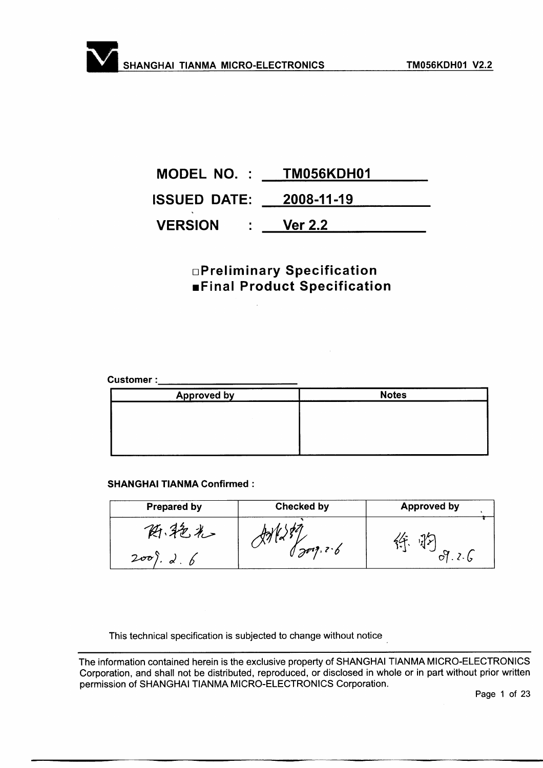| MODEL NO. : TM056KDH01         |                |
|--------------------------------|----------------|
| <b>ISSUED DATE: 2008-11-19</b> |                |
| <b>VERSION</b><br>$\sim 1000$  | <b>Ver 2.2</b> |

## **OPreliminary Specification EFinal Product Specification**

#### **Customer:**

| <b>Approved by</b> | <b>Notes</b> |
|--------------------|--------------|
|                    |              |
|                    |              |
|                    |              |
|                    |              |

#### **SHANGHAI TIANMA Confirmed:**

| <b>Prepared by</b>                    | <b>Checked by</b> | <b>Approved by</b> |  |  |
|---------------------------------------|-------------------|--------------------|--|--|
| حراكتر د<br>200<br>$\alpha$ , $\beta$ | 1201, 2.6         |                    |  |  |

This technical specification is subjected to change without notice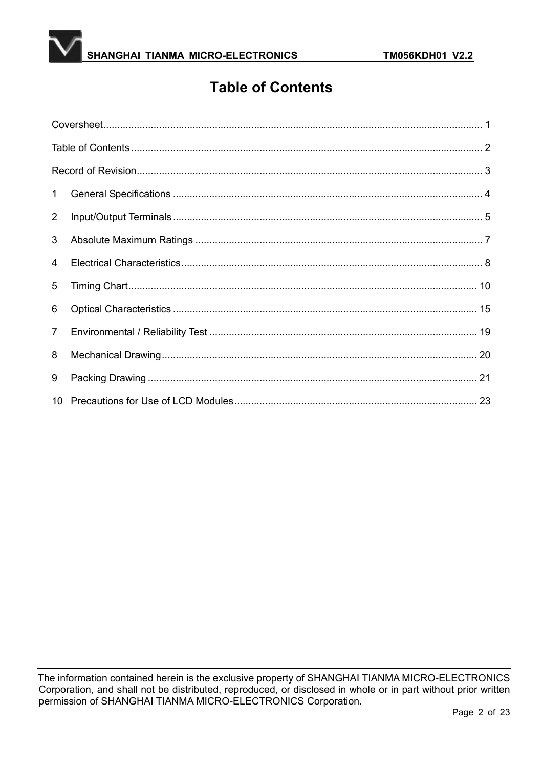

# **Table of Contents**

| $\mathbf 1$    |  |
|----------------|--|
| $\overline{2}$ |  |
| 3              |  |
| $\overline{4}$ |  |
| 5              |  |
| 6              |  |
| $\overline{7}$ |  |
| 8              |  |
| 9              |  |
|                |  |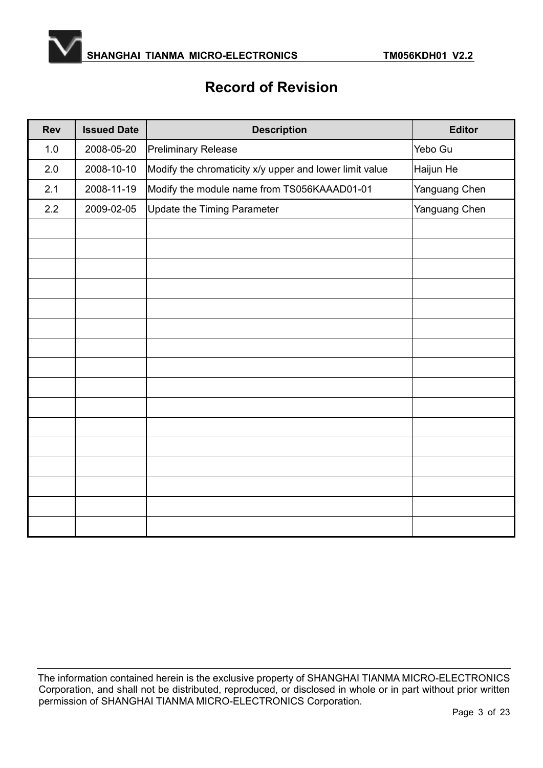

# **Record of Revision**

| <b>Rev</b> | <b>Issued Date</b> | <b>Description</b>                                      | <b>Editor</b> |
|------------|--------------------|---------------------------------------------------------|---------------|
| 1.0        | 2008-05-20         | <b>Preliminary Release</b>                              | Yebo Gu       |
| 2.0        | 2008-10-10         | Modify the chromaticity x/y upper and lower limit value | Haijun He     |
| 2.1        | 2008-11-19         | Modify the module name from TS056KAAAD01-01             | Yanguang Chen |
| 2.2        | 2009-02-05         | Update the Timing Parameter                             | Yanguang Chen |
|            |                    |                                                         |               |
|            |                    |                                                         |               |
|            |                    |                                                         |               |
|            |                    |                                                         |               |
|            |                    |                                                         |               |
|            |                    |                                                         |               |
|            |                    |                                                         |               |
|            |                    |                                                         |               |
|            |                    |                                                         |               |
|            |                    |                                                         |               |
|            |                    |                                                         |               |
|            |                    |                                                         |               |
|            |                    |                                                         |               |
|            |                    |                                                         |               |
|            |                    |                                                         |               |
|            |                    |                                                         |               |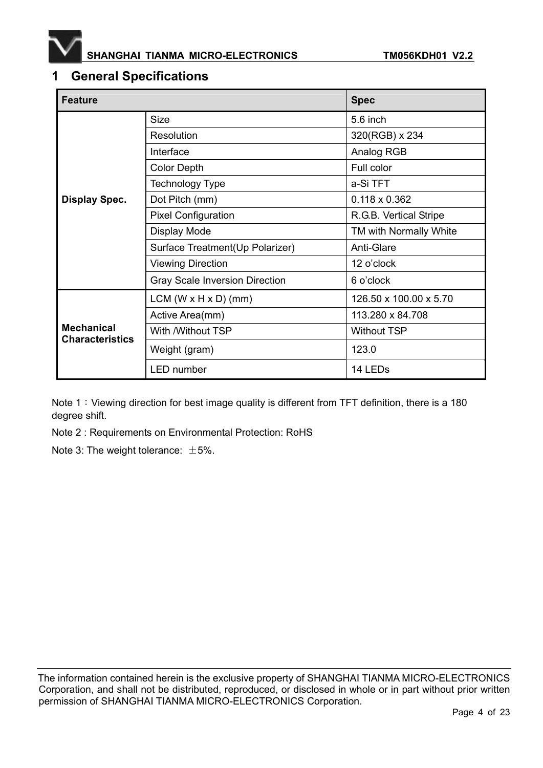

### **1 General Specifications**

| <b>Feature</b>                              |                                       | <b>Spec</b>            |  |  |
|---------------------------------------------|---------------------------------------|------------------------|--|--|
|                                             | <b>Size</b>                           | 5.6 inch               |  |  |
|                                             | <b>Resolution</b>                     | 320(RGB) x 234         |  |  |
|                                             | Interface                             | Analog RGB             |  |  |
|                                             | <b>Color Depth</b>                    | Full color             |  |  |
|                                             | Technology Type                       | a-Si TFT               |  |  |
| <b>Display Spec.</b>                        | Dot Pitch (mm)                        | $0.118 \times 0.362$   |  |  |
|                                             | <b>Pixel Configuration</b>            | R.G.B. Vertical Stripe |  |  |
|                                             | Display Mode                          | TM with Normally White |  |  |
|                                             | Surface Treatment(Up Polarizer)       | Anti-Glare             |  |  |
|                                             | <b>Viewing Direction</b>              | 12 o'clock             |  |  |
|                                             | <b>Gray Scale Inversion Direction</b> | 6 o'clock              |  |  |
|                                             | $LCM (W \times H \times D) (mm)$      | 126.50 x 100.00 x 5.70 |  |  |
|                                             | Active Area(mm)                       | 113.280 x 84.708       |  |  |
| <b>Mechanical</b><br><b>Characteristics</b> | With /Without TSP                     | <b>Without TSP</b>     |  |  |
|                                             | Weight (gram)                         | 123.0                  |  |  |
|                                             | <b>LED</b> number                     | 14 LEDs                |  |  |

Note 1: Viewing direction for best image quality is different from TFT definition, there is a 180 degree shift.

Note 2 : Requirements on Environmental Protection: RoHS

Note 3: The weight tolerance:  $\pm 5\%$ .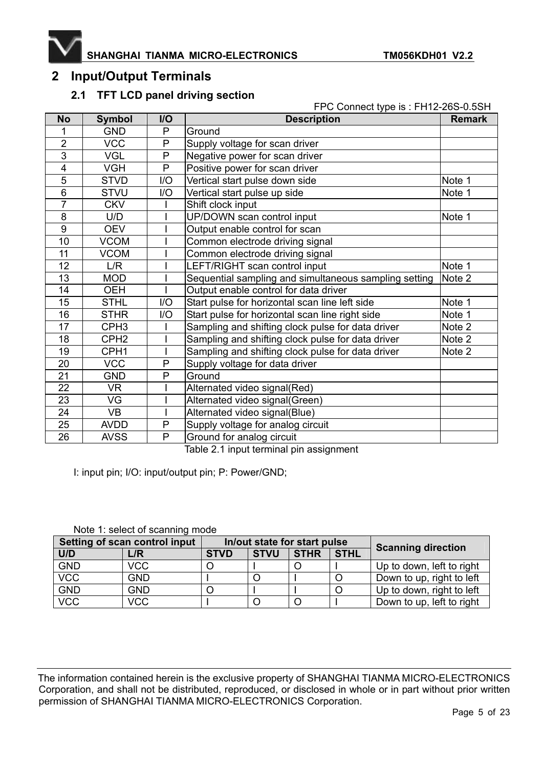

## **2 Input/Output Terminals**

### **2.1 TFT LCD panel driving section**

|                 |                  |                | FPC Connect type is : FH12-26S-0.5SH                  |               |  |  |  |
|-----------------|------------------|----------------|-------------------------------------------------------|---------------|--|--|--|
| <b>No</b>       | <b>Symbol</b>    | I/O            | <b>Description</b>                                    | <b>Remark</b> |  |  |  |
| 1               | <b>GND</b>       | P              | Ground                                                |               |  |  |  |
| $\overline{2}$  | <b>VCC</b>       | P              | Supply voltage for scan driver                        |               |  |  |  |
| $\overline{3}$  | <b>VGL</b>       | $\overline{P}$ | Negative power for scan driver                        |               |  |  |  |
| 4               | <b>VGH</b>       | P              | Positive power for scan driver                        |               |  |  |  |
| 5               | <b>STVD</b>      | I/O            | Vertical start pulse down side                        | Note 1        |  |  |  |
| 6               | <b>STVU</b>      | I/O            | Vertical start pulse up side                          | Note 1        |  |  |  |
| $\overline{7}$  | <b>CKV</b>       |                | Shift clock input                                     |               |  |  |  |
| 8               | U/D              |                | UP/DOWN scan control input                            | Note 1        |  |  |  |
| 9               | <b>OEV</b>       |                | Output enable control for scan                        |               |  |  |  |
| 10              | <b>VCOM</b>      |                | Common electrode driving signal                       |               |  |  |  |
| $\overline{11}$ | <b>VCOM</b>      |                | Common electrode driving signal                       |               |  |  |  |
| 12              | L/R              |                | LEFT/RIGHT scan control input                         | Note 1        |  |  |  |
| 13              | <b>MOD</b>       |                | Sequential sampling and simultaneous sampling setting | Note 2        |  |  |  |
| 14              | <b>OEH</b>       |                | Output enable control for data driver                 |               |  |  |  |
| 15              | <b>STHL</b>      | I/O            | Start pulse for horizontal scan line left side        | Note 1        |  |  |  |
| 16              | <b>STHR</b>      | I/O            | Start pulse for horizontal scan line right side       | Note 1        |  |  |  |
| 17              | CPH <sub>3</sub> |                | Sampling and shifting clock pulse for data driver     | Note 2        |  |  |  |
| 18              | CPH <sub>2</sub> |                | Sampling and shifting clock pulse for data driver     | Note 2        |  |  |  |
| 19              | CPH <sub>1</sub> |                | Sampling and shifting clock pulse for data driver     | Note 2        |  |  |  |
| 20              | <b>VCC</b>       | P              | Supply voltage for data driver                        |               |  |  |  |
| 21              | <b>GND</b>       | P              | Ground                                                |               |  |  |  |
| 22              | VR.              |                | Alternated video signal(Red)                          |               |  |  |  |
| 23              | VG               |                | Alternated video signal(Green)                        |               |  |  |  |
| 24              | <b>VB</b>        |                | Alternated video signal(Blue)                         |               |  |  |  |
| 25              | <b>AVDD</b>      | P              | Supply voltage for analog circuit                     |               |  |  |  |
| 26              | <b>AVSS</b>      | P              | Ground for analog circuit                             |               |  |  |  |

Table 2.1 input terminal pin assignment

I: input pin; I/O: input/output pin; P: Power/GND;

| Setting of scan control input | In/out state for start pulse |             |             |             | <b>Scanning direction</b> |                           |
|-------------------------------|------------------------------|-------------|-------------|-------------|---------------------------|---------------------------|
| U/D                           | L/R                          | <b>STVD</b> | <b>STVU</b> | <b>STHR</b> | <b>STHL</b>               |                           |
| <b>GND</b>                    | <b>VCC</b>                   |             |             |             |                           | Up to down, left to right |
| <b>VCC</b>                    | <b>GND</b>                   |             |             |             |                           | Down to up, right to left |
| <b>GND</b>                    | <b>GND</b>                   |             |             |             |                           | Up to down, right to left |
| <b>VCC</b>                    | <b>VCC</b>                   |             |             |             |                           | Down to up, left to right |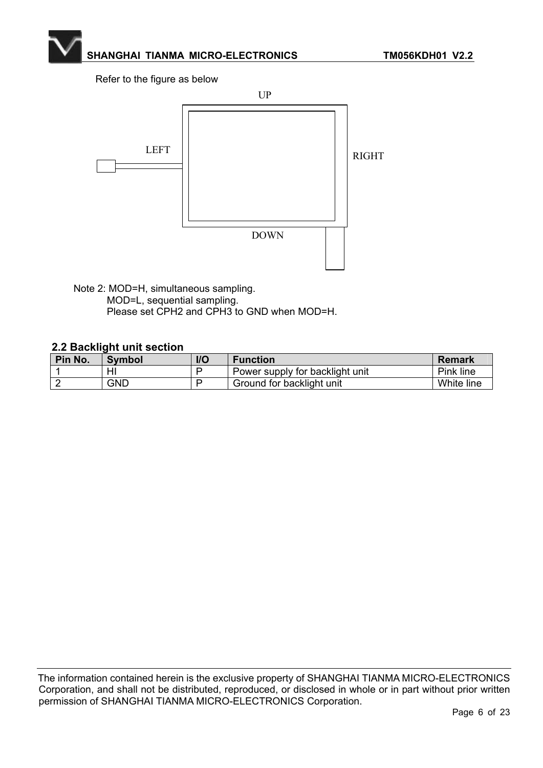Refer to the figure as below



Note 2: MOD=H, simultaneous sampling. MOD=L, sequential sampling. Please set CPH2 and CPH3 to GND when MOD=H.

#### **2.2 Backlight unit section**

| Pin No. | Symbol | <b>I/O</b> | <b>Function</b>                 | <b>Remark</b> |
|---------|--------|------------|---------------------------------|---------------|
|         | HI     |            | Power supply for backlight unit | Pink line     |
|         | GND    |            | Ground for backlight unit       | White line    |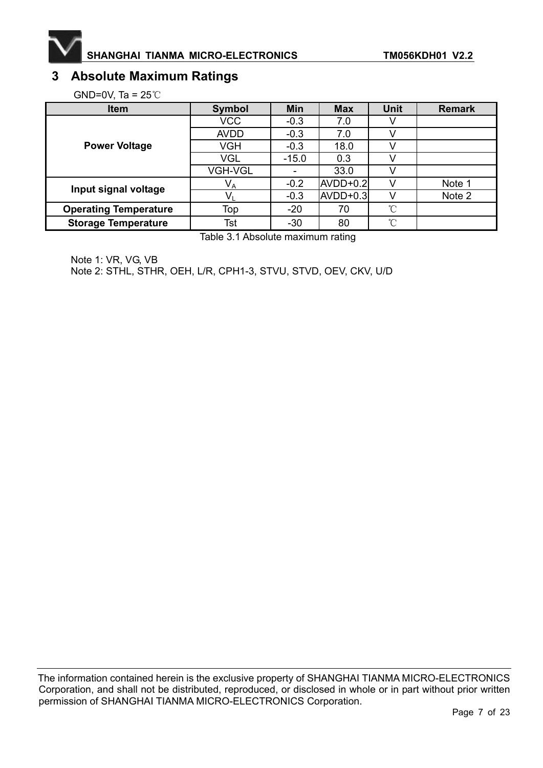

# **3 Absolute Maximum Ratings**

GND=0V, Ta =  $25^{\circ}$ C

| <b>Item</b>                  | Symbol         | <b>Min</b> | <b>Max</b> | <b>Unit</b> | <b>Remark</b> |
|------------------------------|----------------|------------|------------|-------------|---------------|
|                              | <b>VCC</b>     | $-0.3$     | 7.0        |             |               |
|                              | <b>AVDD</b>    | $-0.3$     | 7.0        | V           |               |
| <b>Power Voltage</b>         | VGH            | $-0.3$     | 18.0       |             |               |
|                              | VGL            | $-15.0$    | 0.3        |             |               |
|                              | <b>VGH-VGL</b> |            | 33.0       |             |               |
| Input signal voltage         | $V_A$          | $-0.2$     | $AVDD+0.2$ | $\vee$      | Note 1        |
|                              | Vı             | $-0.3$     | $AVDD+0.3$ | v           | Note 2        |
| <b>Operating Temperature</b> | Top            | $-20$      | 70         | °C          |               |
| <b>Storage Temperature</b>   | Tst            | $-30$      | 80         | °C          |               |

Table 3.1 Absolute maximum rating

Note 1: VR, VG, VB Note 2: STHL, STHR, OEH, L/R, CPH1-3, STVU, STVD, OEV, CKV, U/D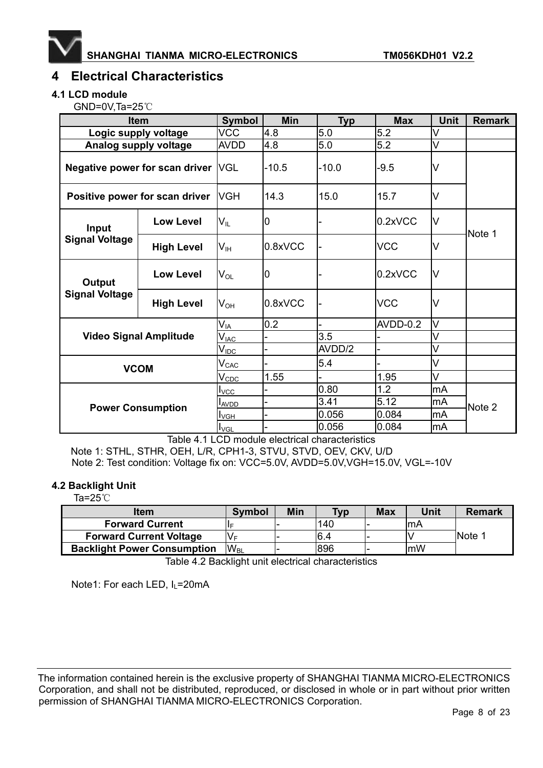

## **4 Electrical Characteristics**

#### **4.1 LCD module**

 $GND=0V$ ,Ta=25 $°C$ 

|                                | <b>Item</b>                    | Symbol                      | <b>Min</b> | <b>Typ</b> | <b>Max</b> | <b>Unit</b> | <b>Remark</b> |
|--------------------------------|--------------------------------|-----------------------------|------------|------------|------------|-------------|---------------|
|                                | Logic supply voltage           | <b>VCC</b>                  | 4.8        | 5.0        | 5.2        | V           |               |
|                                | Analog supply voltage          | <b>AVDD</b>                 | 4.8        | 5.0        | 5.2        | V           |               |
| Negative power for scan driver |                                | <b>VGL</b>                  | $-10.5$    | $-10.0$    | $-9.5$     | V           |               |
|                                | Positive power for scan driver | <b>VGH</b>                  | 14.3       | 15.0       | 15.7       | V           |               |
| Input                          | <b>Low Level</b>               | $V_{\rm IL}$                | 0          |            | 0.2xVCC    | V           | Note 1        |
| <b>Signal Voltage</b>          | <b>High Level</b>              | $\mathsf{V}_{\mathsf{IH}}$  | 0.8xVCC    |            | <b>VCC</b> | V           |               |
| Output                         | <b>Low Level</b>               | $\mathsf{V}_{\mathsf{OL}}$  | 0          |            | 0.2xVCC    | lV          |               |
| <b>Signal Voltage</b>          | <b>High Level</b>              | $\mathsf{V}_{\mathsf{OH}}$  | 0.8xVCC    |            | <b>VCC</b> | V           |               |
|                                |                                | $\mathsf{V}_{\mathsf{IA}}$  | 0.2        |            | AVDD-0.2   | V           |               |
|                                | <b>Video Signal Amplitude</b>  | $V_{\mathsf{IAC}}$          |            | 3.5        |            |             |               |
|                                |                                | $V_{\underline{IDC}}$       |            | AVDD/2     |            | V           |               |
|                                |                                | $\mathsf{V}_{\mathsf{CAC}}$ |            | 5.4        |            | V           |               |
| <b>VCOM</b>                    |                                | $V_{\text{CDC}}$            | 1.55       |            | 1.95       | V           |               |
|                                | $I_{\text{VCC}}$               |                             | 0.80       | 1.2        | mA         |             |               |
| <b>Power Consumption</b>       |                                | <b>LAVDD</b>                |            | 3.41       | 5.12       | mA          | Note 2        |
|                                |                                | $I_{VGH}$                   |            | 0.056      | 0.084      | mA          |               |
|                                | $I_{\text{VGL}}$               |                             | 0.056      | 0.084      | mA         |             |               |

Table 4.1 LCD module electrical characteristics

Note 1: STHL, STHR, OEH, L/R, CPH1-3, STVU, STVD, OEV, CKV, U/D Note 2: Test condition: Voltage fix on: VCC=5.0V, AVDD=5.0V,VGH=15.0V, VGL=-10V

#### **4.2 Backlight Unit**

Ta= $25^\circ$ C

| <b>Item</b>                        | <b>Symbol</b> | Min | <b>Typ</b> | <b>Max</b> | Unit       | <b>Remark</b> |
|------------------------------------|---------------|-----|------------|------------|------------|---------------|
| <b>Forward Current</b>             |               |     | 140        |            | <b>ImA</b> |               |
| <b>Forward Current Voltage</b>     | V⊧            |     | l6.4       |            |            | INote 1       |
| <b>Backlight Power Consumption</b> | $W_{\rm BI}$  |     | 896        |            | lmW        |               |
|                                    |               |     |            |            |            |               |

Table 4.2 Backlight unit electrical characteristics

Note1: For each LED, I<sub>L</sub>=20mA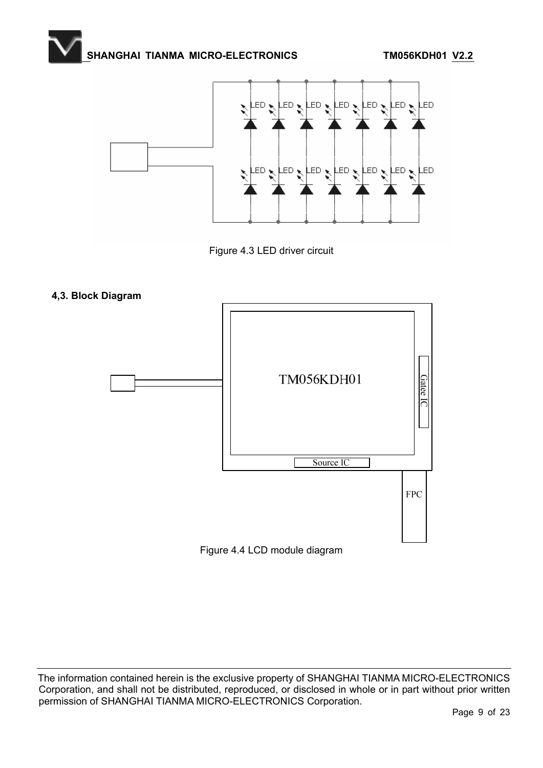

Figure 4.3 LED driver circuit

#### **4,3. Block Diagram**



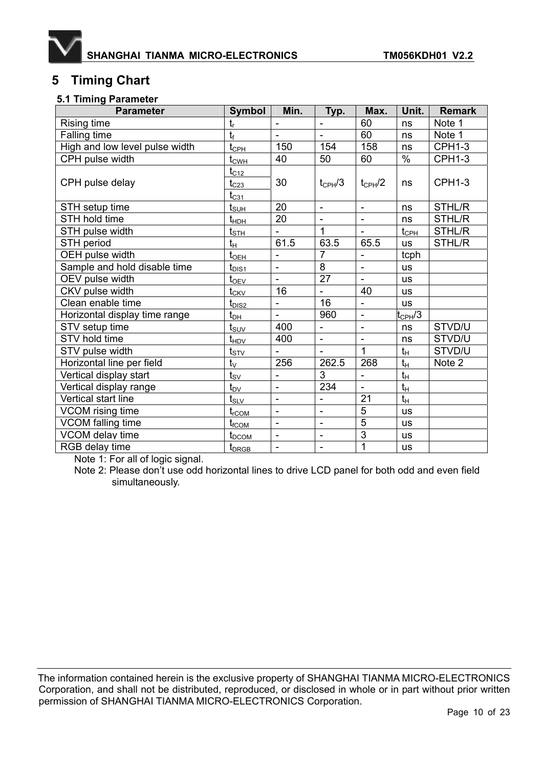

## **5 Timing Chart**

#### **5.1 Timing Parameter**

| <b>Parameter</b>               | Symbol                                | Min.                         | Typ.                     | Max.                     | Unit.           | <b>Remark</b> |
|--------------------------------|---------------------------------------|------------------------------|--------------------------|--------------------------|-----------------|---------------|
| Rising time                    | $t_{r}$                               | $\overline{\phantom{0}}$     | $\overline{\phantom{a}}$ | 60                       | ns              | Note 1        |
| Falling time                   | $t_{\rm f}$                           |                              | $\mathbf{r}$             | 60                       | ns              | Note 1        |
| High and low level pulse width | $t_{\underline{CPL}}$                 | 150                          | 154                      | 158                      | ns              | <b>CPH1-3</b> |
| CPH pulse width                | $t_{\text{CWH}}$                      | 40                           | 50                       | 60                       | $\%$            | <b>CPH1-3</b> |
|                                | $\rm t_{C12}$                         |                              |                          |                          |                 |               |
| CPH pulse delay                | $\mathfrak{t}_{\rm C23}$<br>$t_{C31}$ | 30                           | $t_{\text{CPH}}/3$       | $t_{\text{CPH}}/2$       | ns              | <b>CPH1-3</b> |
| STH setup time                 | $t_{\text{SUH}}$                      | 20                           | $\blacksquare$           | $\blacksquare$           | ns              | STHL/R        |
| STH hold time                  | t <sub>нрн</sub>                      | 20                           | $\blacksquare$           | $\overline{\phantom{0}}$ | ns              | STHL/R        |
| STH pulse width                | $t_{\underline{\text{STH}}}$          | $\qquad \qquad \blacksquare$ | 1                        | $\overline{\phantom{a}}$ | $t_{\rm CPH}$   | STHL/R        |
| STH period                     | $t_H$                                 | 61.5                         | 63.5                     | 65.5                     | <b>us</b>       | STHL/R        |
| OEH pulse width                | $t_{\text{OEH}}$                      | ÷,                           | $\overline{7}$           | ÷,                       | tcph            |               |
| Sample and hold disable time   | $t_{DIS1}$                            |                              | 8                        | ÷,                       | <b>us</b>       |               |
| OEV pulse width                | $t_{\text{OEV}}$                      | $\blacksquare$               | 27                       | $\overline{\phantom{a}}$ | <b>us</b>       |               |
| CKV pulse width                | $t_{CKV}$                             | 16                           | $\blacksquare$           | 40                       | <b>us</b>       |               |
| Clean enable time              | $t_{\tiny\textrm{DIS2}}$              |                              | 16                       | ÷,                       | <b>us</b>       |               |
| Horizontal display time range  | $\mathfrak{t}_{\mathsf{DH}}$          |                              | 960                      | $\overline{\phantom{0}}$ | $t_{\rm CPH}/3$ |               |
| STV setup time                 | $t_{\scriptstyle\textrm{SUV}}$        | 400                          | $\overline{\phantom{a}}$ | $\overline{a}$           | ns              | STVD/U        |
| STV hold time                  | $t_{HDV}$                             | 400                          | $\Box$                   | $\blacksquare$           | ns              | STVD/U        |
| STV pulse width                | $t_{\text{STV}}$                      |                              | $\overline{\phantom{a}}$ | $\overline{1}$           | $t_H$           | STVD/U        |
| Horizontal line per field      | $t_{\vee}$                            | 256                          | 262.5                    | 268                      | $t_{H}$         | Note 2        |
| Vertical display start         | $t_{\rm SV}$                          |                              | $\overline{3}$           | ÷,                       | $t_H$           |               |
| Vertical display range         | $\mathfrak{t}_{\rm DV}$               | $\overline{\phantom{a}}$     | 234                      | $\blacksquare$           | $t_H$           |               |
| Vertical start line            | $\mathsf{t}_{\mathsf{SLV}}$           | ÷,                           | $\blacksquare$           | 21                       | $t_H$           |               |
| VCOM rising time               | $t_{\rm rCOM}$                        | $\overline{a}$               | $\blacksquare$           | 5                        | <b>us</b>       |               |
| VCOM falling time              | $t_{\rm fCOM}$                        | $\frac{1}{2}$                | $\overline{\phantom{a}}$ | $\overline{5}$           | <b>us</b>       |               |
| VCOM delay time                | $t_{\scriptsize{\textrm{DCOM}}}$      |                              | $\overline{a}$           | $\overline{3}$           | <b>us</b>       |               |
| RGB delay time                 | $t_{D{\rm RGB}}$                      | $\blacksquare$               | $\blacksquare$           | 1                        | <b>us</b>       |               |

Note 1: For all of logic signal.

Note 2: Please don't use odd horizontal lines to drive LCD panel for both odd and even field simultaneously.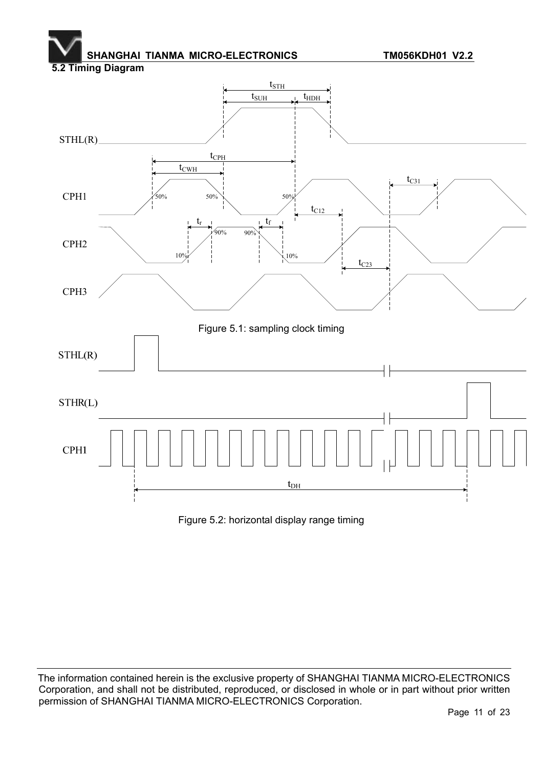### **5.2 Timing Diagram**



Figure 5.2: horizontal display range timing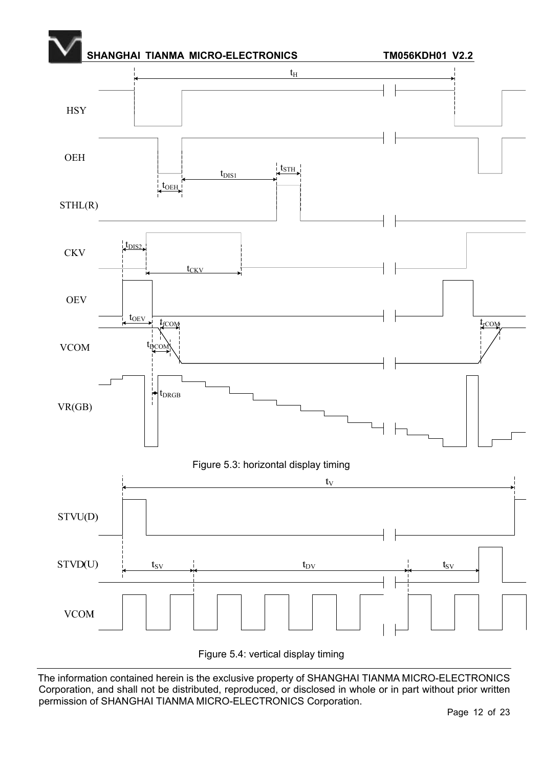

Figure 5.4: vertical display timing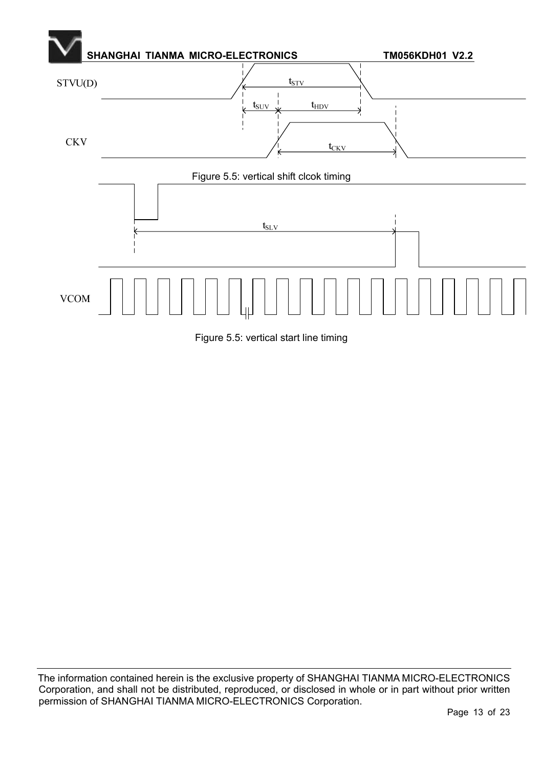

Figure 5.5: vertical start line timing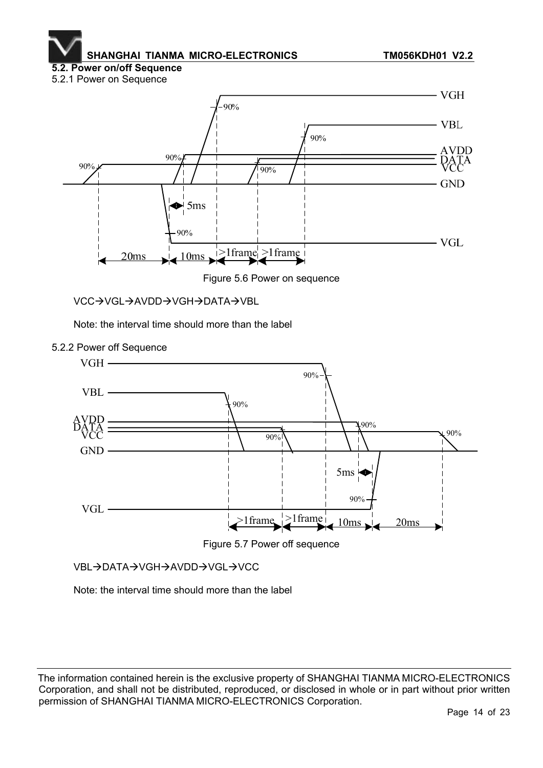#### **5.2. Power on/off Sequence**  5.2.1 Power on Sequence



Figure 5.6 Power on sequence

VCC→VGL→AVDD→VGH→DATA→VBL

Note: the interval time should more than the label



5.2.2 Power off Sequence



VBL→DATA→VGH→AVDD→VGL→VCC

Note: the interval time should more than the label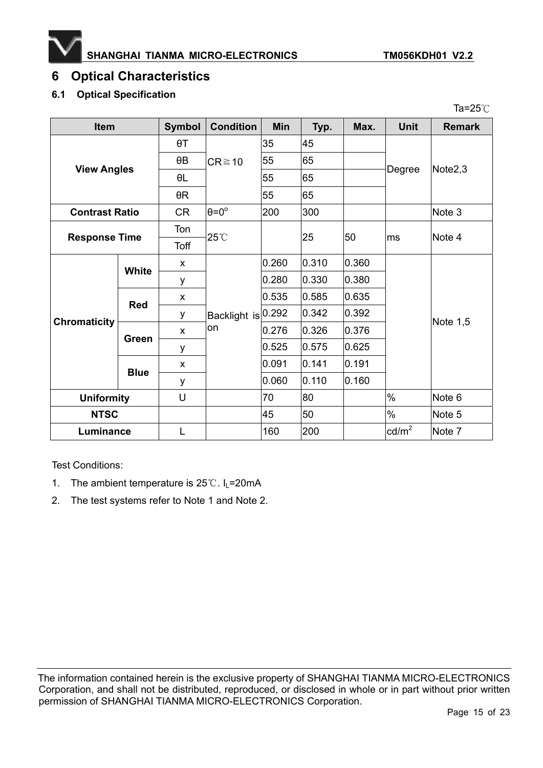

Ta= $25^\circ$ C

# **6 Optical Characteristics**

### **6.1 Optical Specification**

| <b>Item</b>           |                 | <b>Symbol</b> | <b>Condition</b>         | <b>Min</b> | Typ.  | Max.  | <b>Unit</b>     | <b>Remark</b>       |
|-----------------------|-----------------|---------------|--------------------------|------------|-------|-------|-----------------|---------------------|
| <b>View Angles</b>    |                 | $\theta T$    | $CR \ge 10$              | 35         | 45    |       | Degree          | Note <sub>2,3</sub> |
|                       |                 | $\theta$ B    |                          | 55         | 65    |       |                 |                     |
|                       |                 | $\theta$ L    |                          | 55         | 65    |       |                 |                     |
|                       |                 | $\theta$ R    |                          | 55         | 65    |       |                 |                     |
| <b>Contrast Ratio</b> |                 | <b>CR</b>     | $\theta = 0^{\circ}$     | 200        | 300   |       |                 | Note 3              |
| <b>Response Time</b>  |                 | Ton           | 25°C                     | 25         |       |       | Note 4          |                     |
|                       |                 | Toff          |                          |            |       | 50    | ms              |                     |
|                       | White           | X             | Backlight is 0.292<br>on | 0.260      | 0.310 | 0.360 |                 | Note 1,5            |
|                       |                 | у             |                          | 0.280      | 0.330 | 0.380 |                 |                     |
|                       | <b>Red</b>      | X             |                          | 0.535      | 0.585 | 0.635 |                 |                     |
| <b>Chromaticity</b>   |                 | у             |                          |            | 0.342 | 0.392 |                 |                     |
|                       | X<br>Green<br>у |               |                          | 0.276      | 0.326 | 0.376 |                 |                     |
|                       |                 |               |                          | 0.525      | 0.575 | 0.625 |                 |                     |
|                       | <b>Blue</b>     | X             |                          | 0.091      | 0.141 | 0.191 |                 |                     |
|                       |                 | у             |                          | 0.060      | 0.110 | 0.160 |                 |                     |
| <b>Uniformity</b>     |                 | U             |                          | 70         | 80    |       | $\frac{0}{0}$   | Note 6              |
| <b>NTSC</b>           |                 |               |                          | 45         | 50    |       | $\%$            | Note 5              |
| Luminance             |                 | L             |                          | 160        | 200   |       | $\text{cd/m}^2$ | Note 7              |

Test Conditions:

- 1. The ambient temperature is  $25^{\circ}$ . I<sub>L</sub>=20mA
- 2. The test systems refer to Note 1 and Note 2.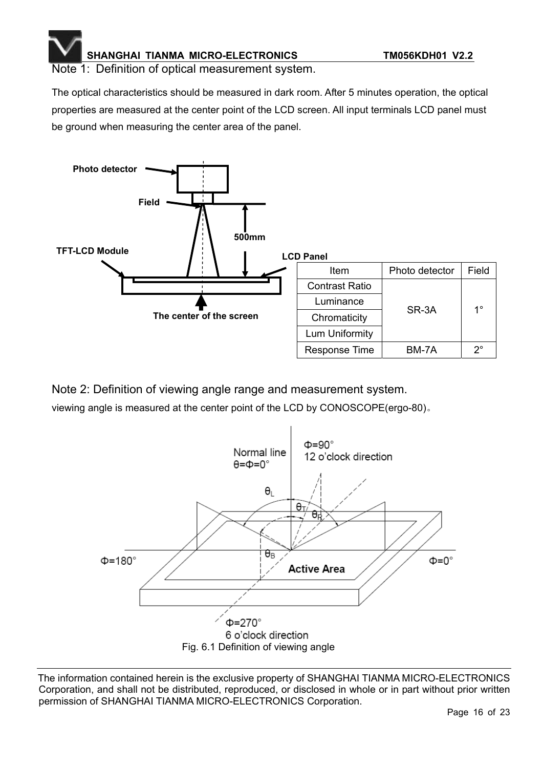Note 1: Definition of optical measurement system.

The optical characteristics should be measured in dark room. After 5 minutes operation, the optical properties are measured at the center point of the LCD screen. All input terminals LCD panel must be ground when measuring the center area of the panel.



Note 2: Definition of viewing angle range and measurement system.

viewing angle is measured at the center point of the LCD by CONOSCOPE(ergo-80).

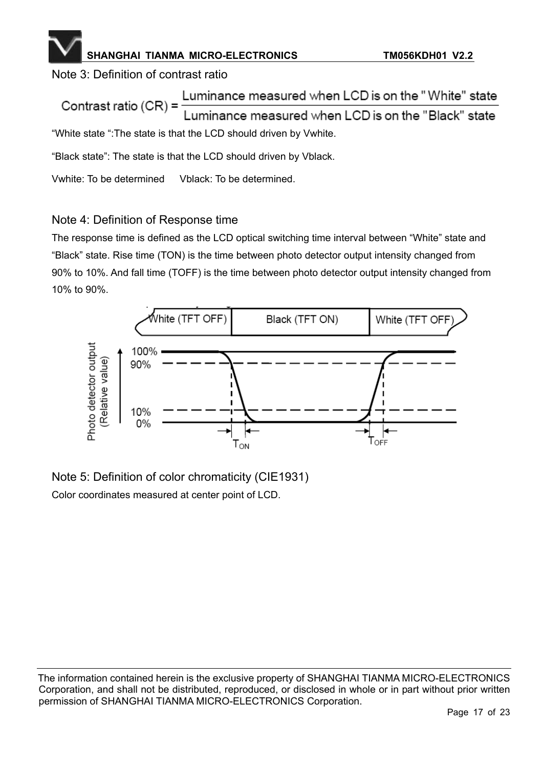### Note 3: Definition of contrast ratio

Luminance measured when LCD is on the "White" state Contrast ratio  $(CR)$  = Luminance measured when LCD is on the "Black" state "White state ":The state is that the LCD should driven by Vwhite.

"Black state": The state is that the LCD should driven by Vblack.

Vwhite: To be determined Vblack: To be determined.

### Note 4: Definition of Response time

The response time is defined as the LCD optical switching time interval between "White" state and "Black" state. Rise time (TON) is the time between photo detector output intensity changed from 90% to 10%. And fall time (TOFF) is the time between photo detector output intensity changed from 10% to 90%.



Note 5: Definition of color chromaticity (CIE1931) Color coordinates measured at center point of LCD.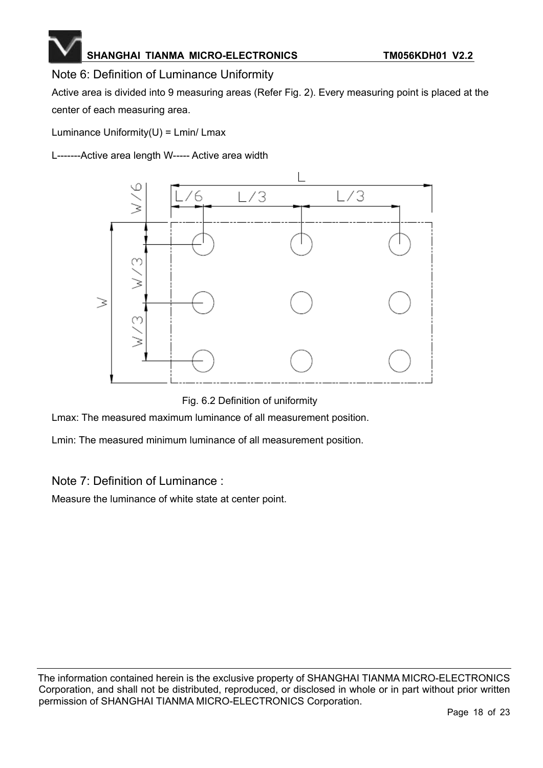### Note 6: Definition of Luminance Uniformity

Active area is divided into 9 measuring areas (Refer Fig. 2). Every measuring point is placed at the center of each measuring area.

Luminance Uniformity $(U)$  = Lmin/ Lmax

L-------Active area length W----- Active area width



Fig. 6.2 Definition of uniformity

Lmax: The measured maximum luminance of all measurement position.

Lmin: The measured minimum luminance of all measurement position.

Note 7: Definition of Luminance :

Measure the luminance of white state at center point.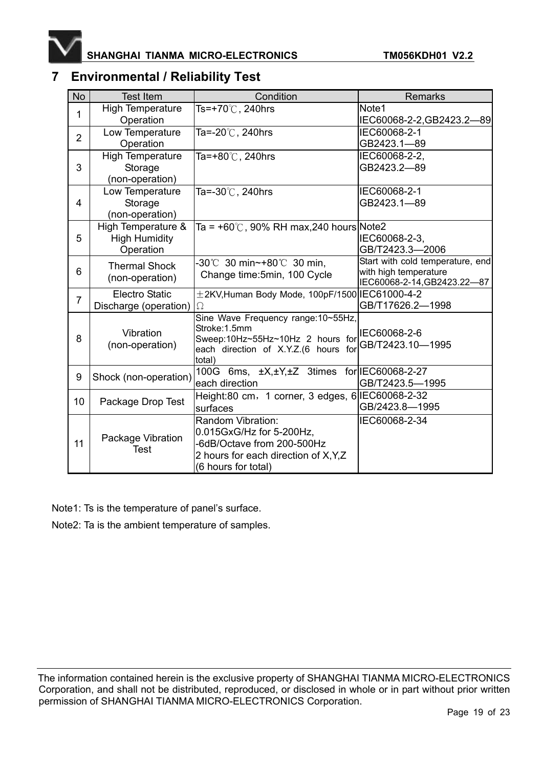

### **7 Environmental / Reliability Test**

| <b>No</b>      | <b>Test Item</b>                                        | Condition                                                                                                                                   | <b>Remarks</b>                                                                           |
|----------------|---------------------------------------------------------|---------------------------------------------------------------------------------------------------------------------------------------------|------------------------------------------------------------------------------------------|
| 1              | <b>High Temperature</b><br>Operation                    | Ts=+70℃, 240hrs                                                                                                                             | Note1<br>IEC60068-2-2, GB2423.2-89                                                       |
| $\overline{2}$ | Low Temperature<br>Operation                            | Ta=-20℃, 240hrs                                                                                                                             | IEC60068-2-1<br>GB2423.1-89                                                              |
| 3              | <b>High Temperature</b><br>Storage<br>(non-operation)   | Ta=+80 $\degree$ C, 240hrs                                                                                                                  | IEC60068-2-2,<br>GB2423.2-89                                                             |
| 4              | Low Temperature<br>Storage<br>(non-operation)           | Ta=-30℃, 240hrs                                                                                                                             | IEC60068-2-1<br>GB2423.1-89                                                              |
| 5              | High Temperature &<br><b>High Humidity</b><br>Operation | Ta = $+60^{\circ}$ C, 90% RH max, 240 hours Note 2                                                                                          | IEC60068-2-3,<br>GB/T2423.3-2006                                                         |
| 6              | <b>Thermal Shock</b><br>(non-operation)                 | -30℃ 30 min~+80℃ 30 min,<br>Change time: 5min, 100 Cycle                                                                                    | Start with cold temperature, end<br>with high temperature<br>IEC60068-2-14, GB2423.22-87 |
| $\overline{7}$ | <b>Electro Static</b><br>Discharge (operation)          | $±2$ KV, Human Body Mode, 100pF/1500 IEC61000-4-2<br>Ω                                                                                      | GB/T17626.2-1998                                                                         |
| 8              | Vibration<br>(non-operation)                            | Sine Wave Frequency range:10~55Hz,<br>Stroke:1.5mm<br>Sweep:10Hz~55Hz~10Hz 2 hours for<br>each direction of X.Y.Z.(6 hours for<br>total)    | IEC60068-2-6<br>GB/T2423.10-1995                                                         |
| 9              | Shock (non-operation)                                   | 100G 6ms, ±X,±Y,±Z 3times<br>each direction                                                                                                 | for IEC60068-2-27<br>GB/T2423.5-1995                                                     |
| 10             | Package Drop Test                                       | Height:80 cm, 1 corner, 3 edges, 6 IEC60068-2-32<br>surfaces                                                                                | GB/2423.8-1995                                                                           |
| 11             | Package Vibration<br>Test                               | Random Vibration:<br>0.015GxG/Hz for 5-200Hz,<br>-6dB/Octave from 200-500Hz<br>2 hours for each direction of X, Y, Z<br>(6 hours for total) | IEC60068-2-34                                                                            |

Note1: Ts is the temperature of panel's surface.

Note2: Ta is the ambient temperature of samples.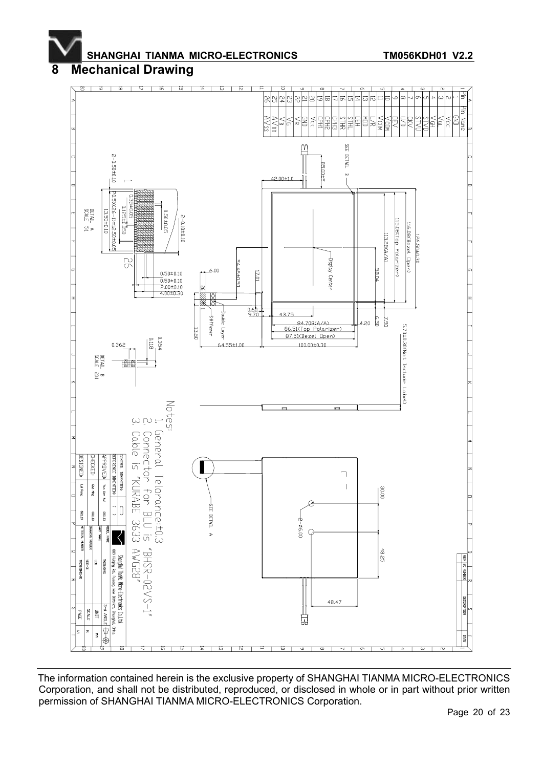## **8 Mechanical Drawing**

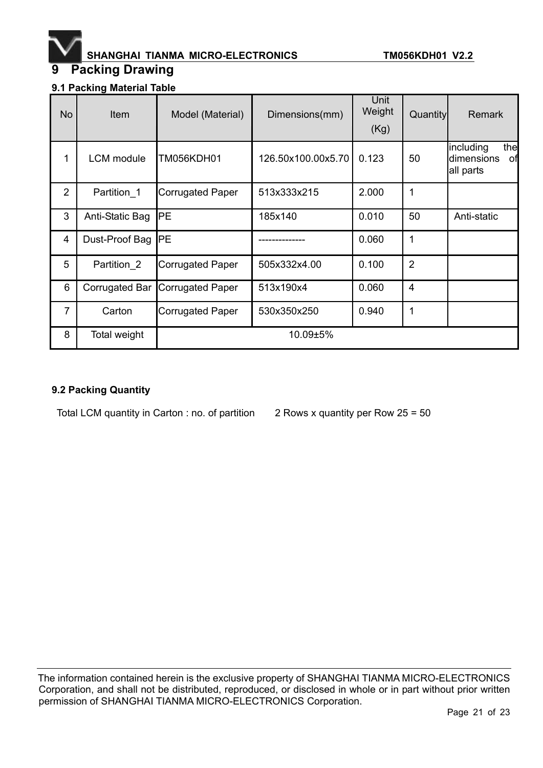

# **9 Packing Drawing**

| 9.1 Packing Material Table |  |
|----------------------------|--|
|                            |  |

| <b>No</b>      | Item              | Model (Material)        | Dimensions(mm)     | Unit<br>Weight<br>(Kg) | Quantity       | <b>Remark</b>                                     |
|----------------|-------------------|-------------------------|--------------------|------------------------|----------------|---------------------------------------------------|
| 1              | <b>LCM</b> module | TM056KDH01              | 126.50x100.00x5.70 | 0.123                  | 50             | including<br>the<br>dimensions<br>οf<br>all parts |
| $\overline{2}$ | Partition 1       | <b>Corrugated Paper</b> | 513x333x215        | 2.000                  | 1              |                                                   |
| 3              | Anti-Static Bag   | PE                      | 185x140            | 0.010                  | 50             | Anti-static                                       |
| $\overline{4}$ | Dust-Proof Bag    | PE                      |                    | 0.060                  | 1              |                                                   |
| 5              | Partition 2       | <b>Corrugated Paper</b> | 505x332x4.00       | 0.100                  | $\overline{2}$ |                                                   |
| 6              | Corrugated Bar    | <b>Corrugated Paper</b> | 513x190x4          | 0.060                  | $\overline{4}$ |                                                   |
| $\overline{7}$ | Carton            | <b>Corrugated Paper</b> | 530x350x250        | 0.940                  | 1              |                                                   |
| 8              | Total weight      |                         | 10.09±5%           |                        |                |                                                   |

#### **9.2 Packing Quantity**

Total LCM quantity in Carton : no. of partition  $2$  Rows x quantity per Row 25 = 50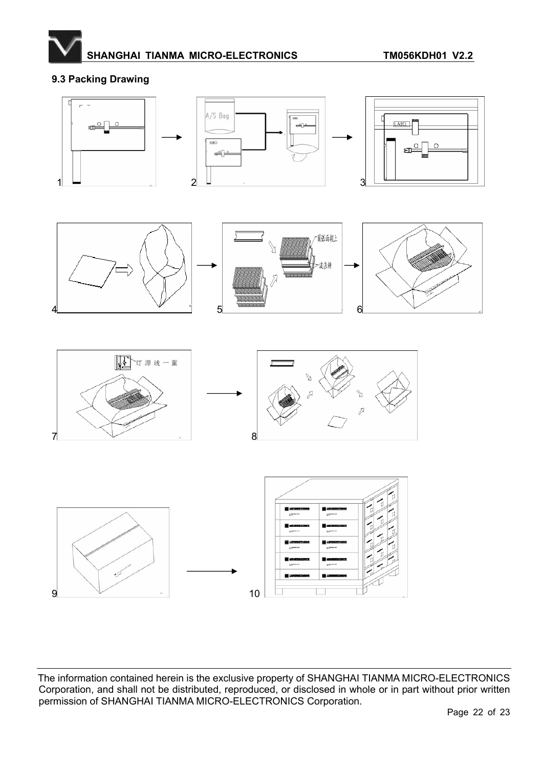

### **9.3 Packing Drawing**